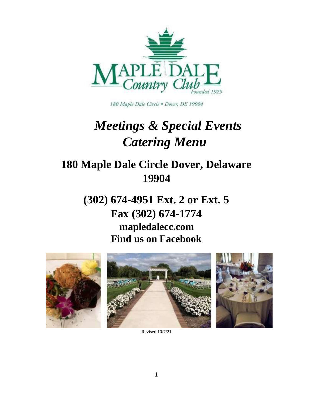

180 Maple Dale Circle . Dover, DE 19904

# *Meetings & Special Events Catering Menu*

## **180 Maple Dale Circle Dover, Delaware 19904**

**(302) 674-4951 Ext. 2 or Ext. 5 Fax (302) 674-1774 mapledalecc.com Find us on Facebook** 



Revised 10/7/21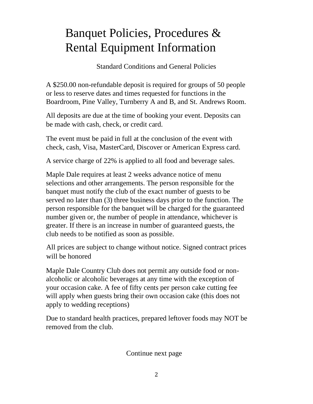# Banquet Policies, Procedures & Rental Equipment Information

Standard Conditions and General Policies

A \$250.00 non-refundable deposit is required for groups of 50 people or less to reserve dates and times requested for functions in the Boardroom, Pine Valley, Turnberry A and B, and St. Andrews Room.

All deposits are due at the time of booking your event. Deposits can be made with cash, check, or credit card.

The event must be paid in full at the conclusion of the event with check, cash, Visa, MasterCard, Discover or American Express card.

A service charge of 22% is applied to all food and beverage sales.

Maple Dale requires at least 2 weeks advance notice of menu selections and other arrangements. The person responsible for the banquet must notify the club of the exact number of guests to be served no later than (3) three business days prior to the function. The person responsible for the banquet will be charged for the guaranteed number given or, the number of people in attendance, whichever is greater. If there is an increase in number of guaranteed guests, the club needs to be notified as soon as possible.

All prices are subject to change without notice. Signed contract prices will be honored

Maple Dale Country Club does not permit any outside food or nonalcoholic or alcoholic beverages at any time with the exception of your occasion cake. A fee of fifty cents per person cake cutting fee will apply when guests bring their own occasion cake (this does not apply to wedding receptions)

Due to standard health practices, prepared leftover foods may NOT be removed from the club.

Continue next page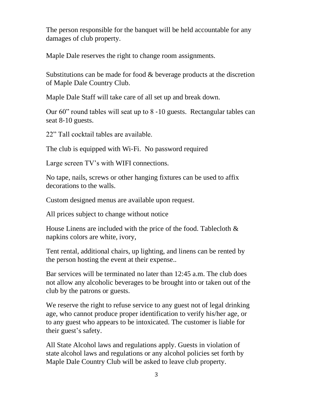The person responsible for the banquet will be held accountable for any damages of club property.

Maple Dale reserves the right to change room assignments.

Substitutions can be made for food & beverage products at the discretion of Maple Dale Country Club.

Maple Dale Staff will take care of all set up and break down.

Our 60" round tables will seat up to 8 ‐10 guests. Rectangular tables can seat 8-10 guests.

22" Tall cocktail tables are available.

The club is equipped with Wi-Fi. No password required

Large screen TV's with WIFI connections.

No tape, nails, screws or other hanging fixtures can be used to affix decorations to the walls.

Custom designed menus are available upon request.

All prices subject to change without notice

House Linens are included with the price of the food. Tablecloth & napkins colors are white, ivory,

Tent rental, additional chairs, up lighting, and linens can be rented by the person hosting the event at their expense..

Bar services will be terminated no later than 12:45 a.m. The club does not allow any alcoholic beverages to be brought into or taken out of the club by the patrons or guests.

We reserve the right to refuse service to any guest not of legal drinking age, who cannot produce proper identification to verify his/her age, or to any guest who appears to be intoxicated. The customer is liable for their guest's safety.

All State Alcohol laws and regulations apply. Guests in violation of state alcohol laws and regulations or any alcohol policies set forth by Maple Dale Country Club will be asked to leave club property.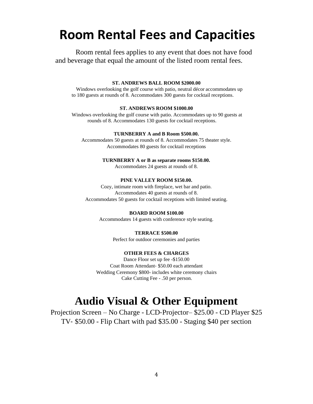# **Room Rental Fees and Capacities**

Room rental fees applies to any event that does not have food and beverage that equal the amount of the listed room rental fees.

#### **ST. ANDREWS BALL ROOM \$2000.00**

Windows overlooking the golf course with patio, neutral décor accommodates up to 180 guests at rounds of 8. Accommodates 300 guests for cocktail receptions.

#### **ST. ANDREWS ROOM \$1000.00**

Windows overlooking the golf course with patio. Accommodates up to 90 guests at rounds of 8. Accommodates 130 guests for cocktail receptions.

#### **TURNBERRY A and B Room \$500.00.**

Accommodates 50 guests at rounds of 8. Accommodates 75 theater style. Accommodates 80 guests for cocktail receptions

#### **TURNBERRY A or B as separate rooms \$150.00.**

Accommodates 24 guests at rounds of 8.

#### **PINE VALLEY ROOM \$150.00.**

Cozy, intimate room with fireplace, wet bar and patio. Accommodates 40 guests at rounds of 8. Accommodates 50 guests for cocktail receptions with limited seating.

#### **BOARD ROOM \$100.00**

Accommodates 14 guests with conference style seating.

#### **TERRACE \$500.00**

Perfect for outdoor ceremonies and parties

#### **OTHER FEES & CHARGES**

Dance Floor set up fee -\$150.00 Coat Room Attendant‐ \$50.00 each attendant Wedding Ceremony \$800- includes white ceremony chairs Cake Cutting Fee - .50 per person.

### **Audio Visual & Other Equipment**

Projection Screen – No Charge - LCD‐Projector– \$25.00 - CD Player \$25 TV‐ \$50.00 - Flip Chart with pad \$35.00 - Staging \$40 per section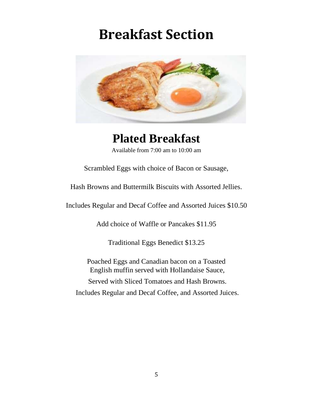# **Breakfast Section**



# **Plated Breakfast**

Available from 7:00 am to 10:00 am

Scrambled Eggs with choice of Bacon or Sausage,

Hash Browns and Buttermilk Biscuits with Assorted Jellies.

Includes Regular and Decaf Coffee and Assorted Juices \$10.50

Add choice of Waffle or Pancakes \$11.95

Traditional Eggs Benedict \$13.25

Poached Eggs and Canadian bacon on a Toasted English muffin served with Hollandaise Sauce, Served with Sliced Tomatoes and Hash Browns. Includes Regular and Decaf Coffee, and Assorted Juices.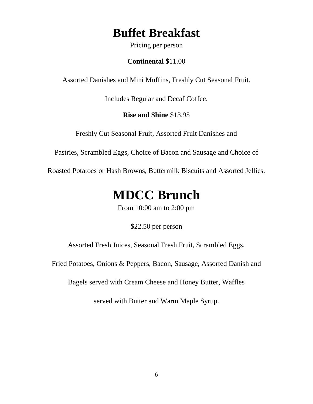## **Buffet Breakfast**

Pricing per person

**Continental** \$11.00

Assorted Danishes and Mini Muffins, Freshly Cut Seasonal Fruit.

Includes Regular and Decaf Coffee.

**Rise and Shine** \$13.95

Freshly Cut Seasonal Fruit, Assorted Fruit Danishes and

Pastries, Scrambled Eggs, Choice of Bacon and Sausage and Choice of

Roasted Potatoes or Hash Browns, Buttermilk Biscuits and Assorted Jellies.

# **MDCC Brunch**

From 10:00 am to 2:00 pm

\$22.50 per person

Assorted Fresh Juices, Seasonal Fresh Fruit, Scrambled Eggs,

Fried Potatoes, Onions & Peppers, Bacon, Sausage, Assorted Danish and

Bagels served with Cream Cheese and Honey Butter, Waffles

served with Butter and Warm Maple Syrup.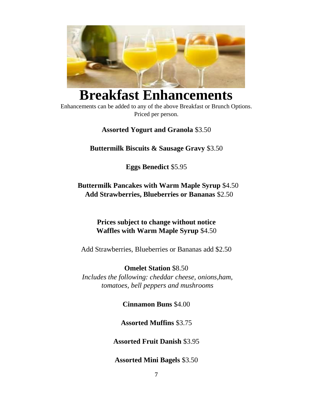

# **Breakfast Enhancements**

Enhancements can be added to any of the above Breakfast or Brunch Options. Priced per person.

**Assorted Yogurt and Granola** \$3.50

### **Buttermilk Biscuits & Sausage Gravy** \$3.50

**Eggs Benedict** \$5.95

### **Buttermilk Pancakes with Warm Maple Syrup** \$4.50 **Add Strawberries, Blueberries or Bananas** \$2.50

### **Prices subject to change without notice Waffles with Warm Maple Syrup** \$4.50

Add Strawberries, Blueberries or Bananas add \$2.50

**Omelet Station** \$8.50 *Includes the following: cheddar cheese, onions,ham, tomatoes, bell peppers and mushrooms* 

**Cinnamon Buns** \$4.00

**Assorted Muffins** \$3.75

**Assorted Fruit Danish** \$3.95

**Assorted Mini Bagels** \$3.50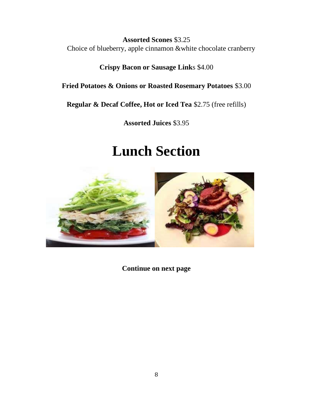**Assorted Scones** \$3.25 Choice of blueberry, apple cinnamon &white chocolate cranberry

**Crispy Bacon or Sausage Link**s \$4.00

**Fried Potatoes & Onions or Roasted Rosemary Potatoes** \$3.00

**Regular & Decaf Coffee, Hot or Iced Tea** \$2.75 (free refills)

**Assorted Juices** \$3.95

# **Lunch Section**



**Continue on next page**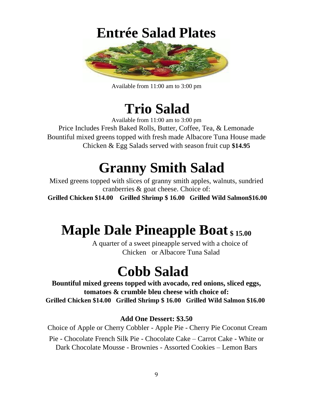

Available from 11:00 am to 3:00 pm

# **Trio Salad**

Available from 11:00 am to 3:00 pm Price Includes Fresh Baked Rolls, Butter, Coffee, Tea, & Lemonade Bountiful mixed greens topped with fresh made Albacore Tuna House made Chicken & Egg Salads served with season fruit cup **\$14.95**

# **Granny Smith Salad**

Mixed greens topped with slices of granny smith apples, walnuts, sundried cranberries & goat cheese. Choice of:

**Grilled Chicken \$14.00 Grilled Shrimp \$ 16.00 Grilled Wild Salmon\$16.00** 

# **Maple Dale Pineapple Boat \$ 15.00**

A quarter of a sweet pineapple served with a choice of Chicken or Albacore Tuna Salad

# **Cobb Salad**

**Bountiful mixed greens topped with avocado, red onions, sliced eggs, tomatoes & crumble bleu cheese with choice of: Grilled Chicken \$14.00 Grilled Shrimp \$ 16.00 Grilled Wild Salmon \$16.00** 

### **Add One Dessert: \$3.50**

Choice of Apple or Cherry Cobbler - Apple Pie - Cherry Pie Coconut Cream Pie - Chocolate French Silk Pie - Chocolate Cake – Carrot Cake - White or Dark Chocolate Mousse - Brownies - Assorted Cookies – Lemon Bars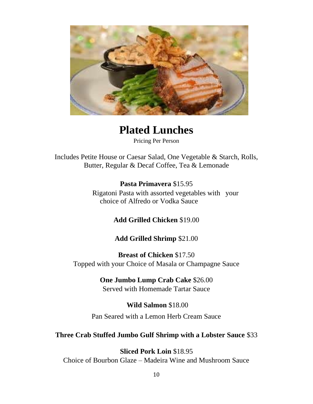

**Plated Lunches** 

Pricing Per Person

Includes Petite House or Caesar Salad, One Vegetable & Starch, Rolls, Butter, Regular & Decaf Coffee, Tea & Lemonade

**Pasta Primavera** \$15.95

Rigatoni Pasta with assorted vegetables with your choice of Alfredo or Vodka Sauce

**Add Grilled Chicken** \$19.00

**Add Grilled Shrimp** \$21.00

**Breast of Chicken** \$17.50 Topped with your Choice of Masala or Champagne Sauce

> **One Jumbo Lump Crab Cake** \$26.00 Served with Homemade Tartar Sauce

**Wild Salmon** \$18.00 Pan Seared with a Lemon Herb Cream Sauce

**Three Crab Stuffed Jumbo Gulf Shrimp with a Lobster Sauce** \$33

**Sliced Pork Loin** \$18.95 Choice of Bourbon Glaze – Madeira Wine and Mushroom Sauce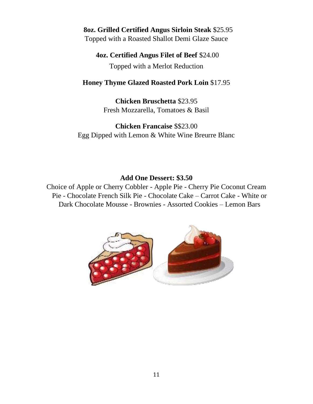### **8oz. Grilled Certified Angus Sirloin Steak** \$25.95 Topped with a Roasted Shallot Demi Glaze Sauce

### **4oz. Certified Angus Filet of Beef** \$24.00 Topped with a Merlot Reduction

### **Honey Thyme Glazed Roasted Pork Loin** \$17.95

**Chicken Bruschetta** \$23.95 Fresh Mozzarella, Tomatoes & Basil

**Chicken Francaise** \$\$23.00 Egg Dipped with Lemon & White Wine Breurre Blanc

### **Add One Dessert: \$3.50**

Choice of Apple or Cherry Cobbler - Apple Pie - Cherry Pie Coconut Cream Pie - Chocolate French Silk Pie - Chocolate Cake – Carrot Cake - White or Dark Chocolate Mousse - Brownies - Assorted Cookies – Lemon Bars

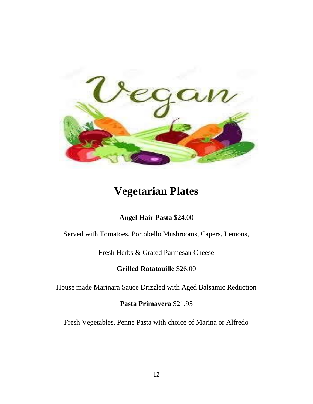

## **Vegetarian Plates**

### **Angel Hair Pasta** \$24.00

Served with Tomatoes, Portobello Mushrooms, Capers, Lemons,

Fresh Herbs & Grated Parmesan Cheese

**Grilled Ratatouille** \$26.00

House made Marinara Sauce Drizzled with Aged Balsamic Reduction

**Pasta Primavera** \$21.95

Fresh Vegetables, Penne Pasta with choice of Marina or Alfredo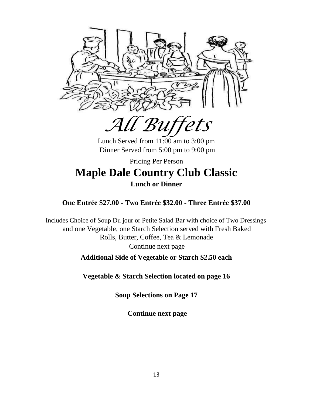

*All Buffets* 

Lunch Served from 11:00 am to 3:00 pm Dinner Served from 5:00 pm to 9:00 pm

### Pricing Per Person **Maple Dale Country Club Classic Lunch or Dinner**

### **One Entrée \$27.00 - Two Entrée \$32.00 - Three Entrée \$37.00**

Includes Choice of Soup Du jour or Petite Salad Bar with choice of Two Dressings and one Vegetable, one Starch Selection served with Fresh Baked Rolls, Butter, Coffee, Tea & Lemonade Continue next page **Additional Side of Vegetable or Starch \$2.50 each** 

**Vegetable & Starch Selection located on page 16** 

**Soup Selections on Page 17** 

**Continue next page**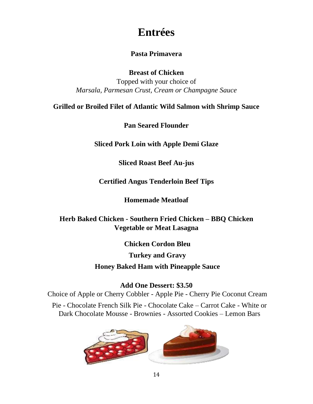### **Entrées**

### **Pasta Primavera**

**Breast of Chicken** 

Topped with your choice of *Marsala, Parmesan Crust, Cream or Champagne Sauce* 

**Grilled or Broiled Filet of Atlantic Wild Salmon with Shrimp Sauce** 

**Pan Seared Flounder** 

**Sliced Pork Loin with Apple Demi Glaze** 

**Sliced Roast Beef Au-jus** 

**Certified Angus Tenderloin Beef Tips** 

**Homemade Meatloaf** 

**Herb Baked Chicken - Southern Fried Chicken – BBQ Chicken Vegetable or Meat Lasagna** 

> **Chicken Cordon Bleu Turkey and Gravy Honey Baked Ham with Pineapple Sauce**

> > **Add One Dessert: \$3.50**

Choice of Apple or Cherry Cobbler - Apple Pie - Cherry Pie Coconut Cream Pie - Chocolate French Silk Pie - Chocolate Cake – Carrot Cake - White or Dark Chocolate Mousse - Brownies - Assorted Cookies – Lemon Bars

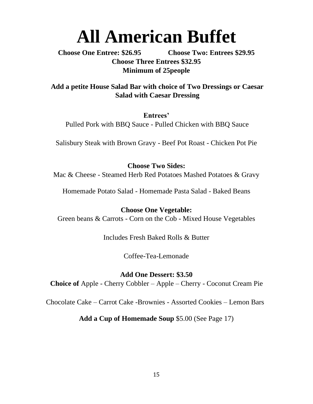# **All American Buffet**

**Choose One Entree: \$26.95 Choose Two: Entrees \$29.95 Choose Three Entrees \$32.95 Minimum of 25people** 

**Add a petite House Salad Bar with choice of Two Dressings or Caesar Salad with Caesar Dressing** 

**Entrees'**  Pulled Pork with BBQ Sauce - Pulled Chicken with BBQ Sauce

Salisbury Steak with Brown Gravy - Beef Pot Roast - Chicken Pot Pie

**Choose Two Sides:**  Mac & Cheese - Steamed Herb Red Potatoes Mashed Potatoes & Gravy

Homemade Potato Salad - Homemade Pasta Salad - Baked Beans

**Choose One Vegetable:**  Green beans & Carrots - Corn on the Cob - Mixed House Vegetables

Includes Fresh Baked Rolls & Butter

Coffee-Tea-Lemonade

**Add One Dessert: \$3.50 Choice of** Apple - Cherry Cobbler – Apple – Cherry - Coconut Cream Pie

Chocolate Cake – Carrot Cake -Brownies - Assorted Cookies – Lemon Bars

**Add a Cup of Homemade Soup** \$5.00 (See Page 17)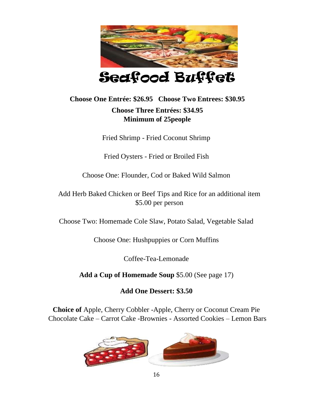

### **Choose One Entrée: \$26.95 Choose Two Entrees: \$30.95 Choose Three Entrées: \$34.95 Minimum of 25people**

Fried Shrimp - Fried Coconut Shrimp

Fried Oysters - Fried or Broiled Fish

Choose One: Flounder, Cod or Baked Wild Salmon

Add Herb Baked Chicken or Beef Tips and Rice for an additional item \$5.00 per person

Choose Two: Homemade Cole Slaw, Potato Salad, Vegetable Salad

Choose One: Hushpuppies or Corn Muffins

Coffee-Tea-Lemonade

**Add a Cup of Homemade Soup** \$5.00 (See page 17)

**Add One Dessert: \$3.50** 

**Choice of** Apple, Cherry Cobbler -Apple, Cherry or Coconut Cream Pie Chocolate Cake – Carrot Cake -Brownies - Assorted Cookies – Lemon Bars

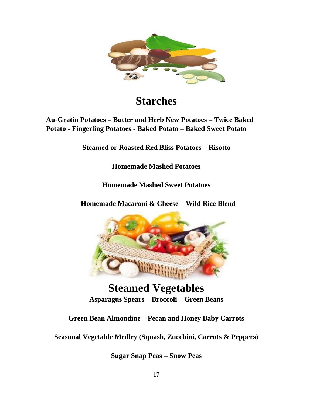

## **Starches**

### **Au**‐**Gratin Potatoes – Butter and Herb New Potatoes – Twice Baked Potato - Fingerling Potatoes - Baked Potato – Baked Sweet Potato**

**Steamed or Roasted Red Bliss Potatoes – Risotto** 

**Homemade Mashed Potatoes** 

**Homemade Mashed Sweet Potatoes** 

**Homemade Macaroni & Cheese – Wild Rice Blend** 



**Steamed Vegetables Asparagus Spears – Broccoli – Green Beans** 

**Green Bean Almondine – Pecan and Honey Baby Carrots** 

**Seasonal Vegetable Medley (Squash, Zucchini, Carrots & Peppers)** 

**Sugar Snap Peas – Snow Peas**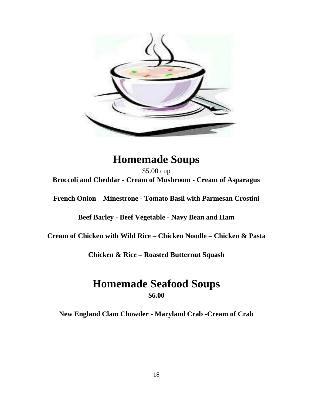

### **Homemade Soups**

\$5.00 cup **Broccoli and Cheddar - Cream of Mushroom - Cream of Asparagus** 

**French Onion – Minestrone - Tomato Basil with Parmesan Crostini** 

**Beef Barley - Beef Vegetable - Navy Bean and Ham** 

**Cream of Chicken with Wild Rice – Chicken Noodle – Chicken & Pasta** 

**Chicken & Rice – Roasted Butternut Squash** 

### **Homemade Seafood Soups \$6.00**

**New England Clam Chowder - Maryland Crab -Cream of Crab**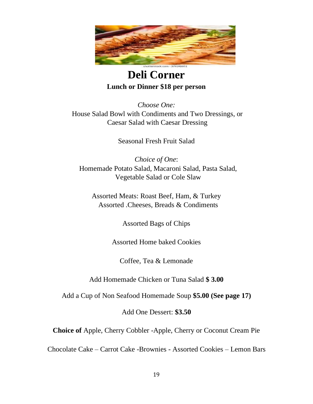

### **Deli Corner Lunch or Dinner \$18 per person**

*Choose One:*  House Salad Bowl with Condiments and Two Dressings, or Caesar Salad with Caesar Dressing

Seasonal Fresh Fruit Salad

*Choice of One*: Homemade Potato Salad, Macaroni Salad, Pasta Salad, Vegetable Salad or Cole Slaw

Assorted Meats: Roast Beef, Ham, & Turkey Assorted .Cheeses, Breads & Condiments

Assorted Bags of Chips

Assorted Home baked Cookies

Coffee, Tea & Lemonade

Add Homemade Chicken or Tuna Salad **\$ 3.00** 

Add a Cup of Non Seafood Homemade Soup **\$5.00 (See page 17)** 

Add One Dessert: **\$3.50** 

**Choice of** Apple, Cherry Cobbler -Apple, Cherry or Coconut Cream Pie

Chocolate Cake – Carrot Cake -Brownies - Assorted Cookies – Lemon Bars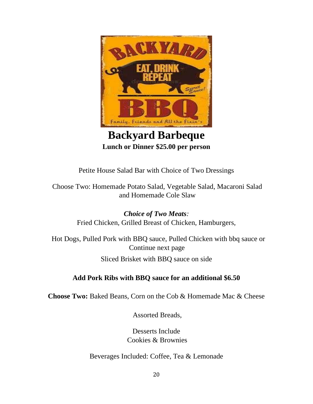

### **Backyard Barbeque Lunch or Dinner \$25.00 per person**

Petite House Salad Bar with Choice of Two Dressings

Choose Two: Homemade Potato Salad, Vegetable Salad, Macaroni Salad and Homemade Cole Slaw

> *Choice of Two Meats:*  Fried Chicken, Grilled Breast of Chicken, Hamburgers,

Hot Dogs, Pulled Pork with BBQ sauce, Pulled Chicken with bbq sauce or Continue next page Sliced Brisket with BBQ sauce on side

### **Add Pork Ribs with BBQ sauce for an additional \$6.50**

**Choose Two:** Baked Beans, Corn on the Cob & Homemade Mac & Cheese

Assorted Breads,

Desserts Include Cookies & Brownies

Beverages Included: Coffee, Tea & Lemonade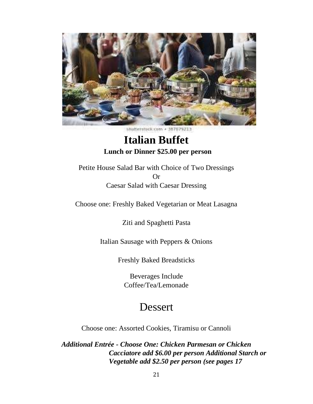

stutterstock.com + 367079213

### **Italian Buffet Lunch or Dinner \$25.00 per person**

Petite House Salad Bar with Choice of Two Dressings Or Caesar Salad with Caesar Dressing

Choose one: Freshly Baked Vegetarian or Meat Lasagna

Ziti and Spaghetti Pasta

Italian Sausage with Peppers & Onions

Freshly Baked Breadsticks

Beverages Include Coffee/Tea/Lemonade

### Dessert

Choose one: Assorted Cookies, Tiramisu or Cannoli

*Additional Entrée - Choose One: Chicken Parmesan or Chicken Cacciatore add \$6.00 per person Additional Starch or Vegetable add \$2.50 per person (see pages 17*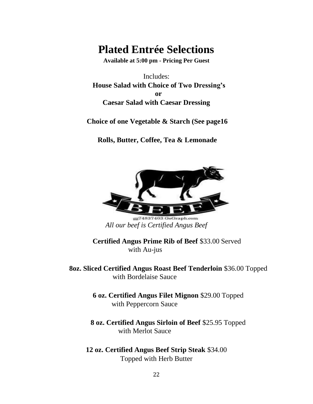## **Plated Entrée Selections**

**Available at 5:00 pm - Pricing Per Guest** 

Includes: **House Salad with Choice of Two Dressing's or Caesar Salad with Caesar Dressing** 

**Choice of one Vegetable & Starch (See page16** 

**Rolls, Butter, Coffee, Tea & Lemonade** 



gg74837403 GoGraph.com *All our beef is Certified Angus Beef* 

**Certified Angus Prime Rib of Beef** \$33.00 Served with Au-jus

**8oz. Sliced Certified Angus Roast Beef Tenderloin** \$36.00 Topped with Bordelaise Sauce

> **6 oz. Certified Angus Filet Mignon** \$29.00 Topped with Peppercorn Sauce

**8 oz. Certified Angus Sirloin of Beef** \$25.95 Topped with Merlot Sauce

**12 oz. Certified Angus Beef Strip Steak** \$34.00 Topped with Herb Butter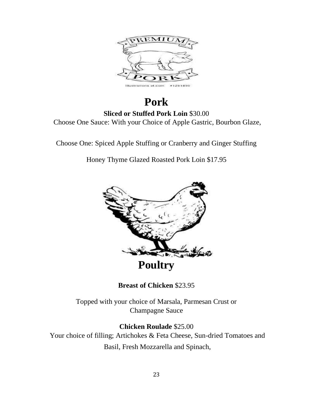

### **Pork Sliced or Stuffed Pork Loin** \$30.00 Choose One Sauce: With your Choice of Apple Gastric, Bourbon Glaze,

Choose One: Spiced Apple Stuffing or Cranberry and Ginger Stuffing

Honey Thyme Glazed Roasted Pork Loin \$17.95



**Breast of Chicken** \$23.95

Topped with your choice of Marsala, Parmesan Crust or Champagne Sauce

**Chicken Roulade** \$25.00 Your choice of filling; Artichokes & Feta Cheese, Sun-dried Tomatoes and Basil, Fresh Mozzarella and Spinach,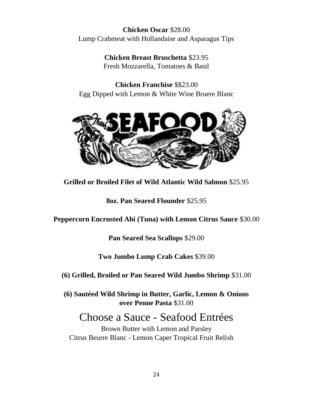### **Chicken Oscar** \$28.00 Lump Crabmeat with Hollandaise and Asparagus Tips

**Chicken Breast Bruschetta** \$23.95 Fresh Mozzarella, Tomatoes & Basil

**Chicken Franchise** \$\$23.00 Egg Dipped with Lemon & White Wine Bruere Blanc



**Grilled or Broiled Filet of Wild Atlantic Wild Salmon** \$25.95

**8oz. Pan Seared Flounder** \$25.95

**Peppercorn Encrusted Ahi (Tuna) with Lemon Citrus Sauce** \$30.00

**Pan Seared Sea Scallops** \$29.00

### **Two Jumbo Lump Crab Cakes** \$39.00

**(6) Grilled, Broiled or Pan Seared Wild Jumbo Shrimp** \$31.00

**(6) Sautéed Wild Shrimp in Butter, Garlic, Lemon & Onions over Penne Pasta** \$31.00

## Choose a Sauce - Seafood Entrées

Brown Butter with Lemon and Parsley Citrus Beurre Blanc - Lemon Caper Tropical Fruit Relish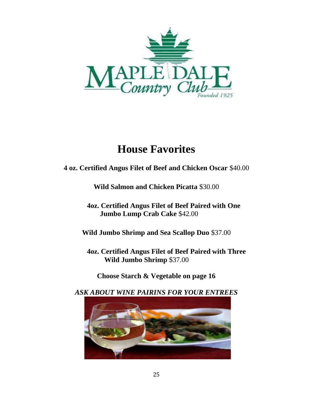

## **House Favorites**

**4 oz. Certified Angus Filet of Beef and Chicken Oscar** \$40.00

**Wild Salmon and Chicken Picatta** \$30.00

**4oz. Certified Angus Filet of Beef Paired with One Jumbo Lump Crab Cake** \$42.00

**Wild Jumbo Shrimp and Sea Scallop Duo** \$37.00

**4oz. Certified Angus Filet of Beef Paired with Three Wild Jumbo Shrimp** \$37.00

**Choose Starch & Vegetable on page 16** 

*ASK ABOUT WINE PAIRINS FOR YOUR ENTREES* 

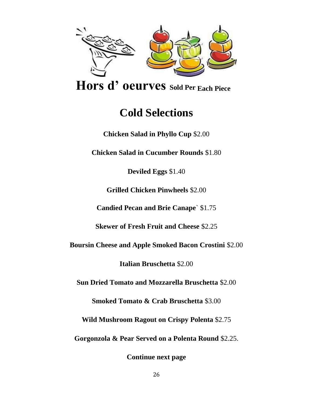

**Hors d' oeurves Sold Per Each Piece** 

## **Cold Selections**

**Chicken Salad in Phyllo Cup** \$2.00

**Chicken Salad in Cucumber Rounds** \$1.80

**Deviled Eggs** \$1.40

**Grilled Chicken Pinwheels** \$2.00

**Candied Pecan and Brie Canape**` \$1.75

**Skewer of Fresh Fruit and Cheese** \$2.25

**Boursin Cheese and Apple Smoked Bacon Crostini** \$2.00

**Italian Bruschetta** \$2.00

**Sun Dried Tomato and Mozzarella Bruschetta** \$2.00

**Smoked Tomato & Crab Bruschetta** \$3.00

**Wild Mushroom Ragout on Crispy Polenta** \$2.75

**Gorgonzola & Pear Served on a Polenta Round** \$2.25.

**Continue next page**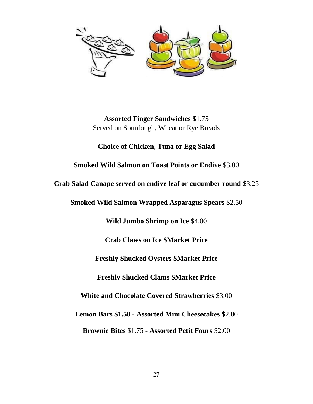

**Assorted Finger Sandwiches** \$1.75 Served on Sourdough, Wheat or Rye Breads

**Choice of Chicken, Tuna or Egg Salad** 

### **Smoked Wild Salmon on Toast Points or Endive** \$3.00

**Crab Salad Canape served on endive leaf or cucumber round** \$3.25

**Smoked Wild Salmon Wrapped Asparagus Spears** \$2.50

**Wild Jumbo Shrimp on Ice** \$4.00

**Crab Claws on Ice \$Market Price**

**Freshly Shucked Oysters \$Market Price**

**Freshly Shucked Clams \$Market Price** 

**White and Chocolate Covered Strawberries** \$3.00

**Lemon Bars \$1.50 - Assorted Mini Cheesecakes** \$2.00

**Brownie Bites** \$1.75 - **Assorted Petit Fours** \$2.00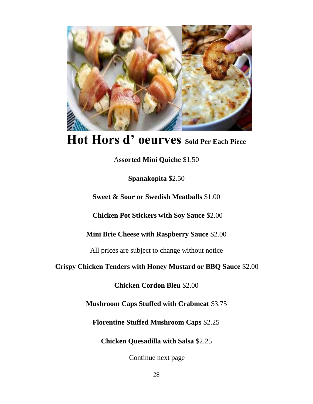

# **Hot Hors d' oeurves Sold Per Each Piece**

A**ssorted Mini Quiche** \$1.50

**Spanakopita** \$2.50

**Sweet & Sour or Swedish Meatballs** \$1.00

**Chicken Pot Stickers with Soy Sauce** \$2.00

**Mini Brie Cheese with Raspberry Sauce** \$2.00

All prices are subject to change without notice

**Crispy Chicken Tenders with Honey Mustard or BBQ Sauce** \$2.00

**Chicken Cordon Bleu** \$2.00

**Mushroom Caps Stuffed with Crabmeat** \$3.75

**Florentine Stuffed Mushroom Caps** \$2.25

**Chicken Quesadilla with Salsa** \$2.25

Continue next page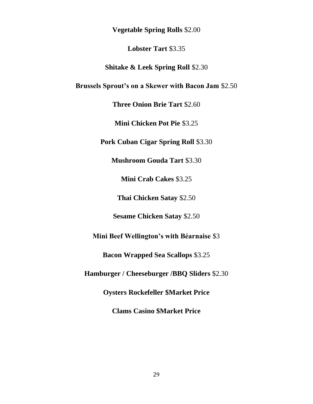**Vegetable Spring Rolls** \$2.00

**Lobster Tart** \$3.35

**Shitake & Leek Spring Roll** \$2.30

**Brussels Sprout's on a Skewer with Bacon Jam** \$2.50

**Three Onion Brie Tart** \$2.60

**Mini Chicken Pot Pie** \$3.25

**Pork Cuban Cigar Spring Roll** \$3.30

**Mushroom Gouda Tart** \$3.30

**Mini Crab Cakes** \$3.25

**Thai Chicken Satay** \$2.50

**Sesame Chicken Satay** \$2.50

**Mini Beef Wellington's with Béarnaise** \$3

**Bacon Wrapped Sea Scallops** \$3.25

**Hamburger / Cheeseburger /BBQ Sliders** \$2.30

**Oysters Rockefeller \$Market Price**

**Clams Casino \$Market Price**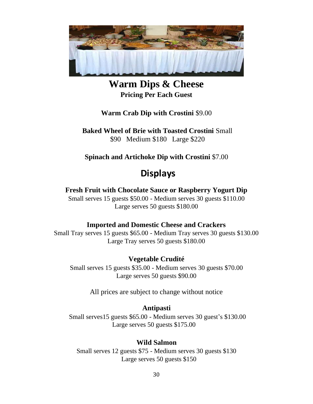

**Warm Dips & Cheese Pricing Per Each Guest**

**Warm Crab Dip with Crostini** \$9.00

**Baked Wheel of Brie with Toasted Crostini** Small \$90 Medium \$180 Large \$220

**Spinach and Artichoke Dip with Crostini** \$7.00

### **Displays**

### **Fresh Fruit with Chocolate Sauce or Raspberry Yogurt Dip**

Small serves 15 guests \$50.00 - Medium serves 30 guests \$110.00 Large serves 50 guests \$180.00

### **Imported and Domestic Cheese and Crackers**

Small Tray serves 15 guests \$65.00 - Medium Tray serves 30 guests \$130.00 Large Tray serves 50 guests \$180.00

### **Vegetable Crudité**

Small serves 15 guests \$35.00 - Medium serves 30 guests \$70.00 Large serves 50 guests \$90.00

All prices are subject to change without notice

#### **Antipasti**

Small serves15 guests \$65.00 - Medium serves 30 guest's \$130.00 Large serves 50 guests \$175.00

#### **Wild Salmon**

Small serves 12 guests \$75 - Medium serves 30 guests \$130 Large serves 50 guests \$150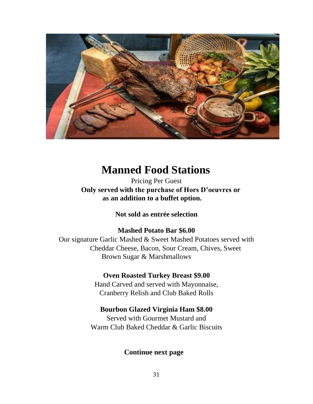

### **Manned Food Stations**

Pricing Per Guest **Only served with the purchase of Hors D'oeuvres or as an addition to a buffet option.** 

**Not sold as entrée selection** 

### **Mashed Potato Bar \$6.00**

Our signature Garlic Mashed & Sweet Mashed Potatoes served with Cheddar Cheese, Bacon, Sour Cream, Chives, Sweet Brown Sugar & Marshmallows

### **Oven Roasted Turkey Breast \$9.00**

Hand Carved and served with Mayonnaise, Cranberry Relish and Club Baked Rolls

### **Bourbon Glazed Virginia Ham \$8.00**

Served with Gourmet Mustard and Warm Club Baked Cheddar & Garlic Biscuits

### **Continue next page**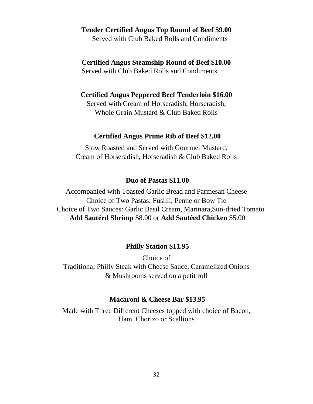#### **Tender Certified Angus Top Round of Beef \$9.00**

Served with Club Baked Rolls and Condiments

### **Certified Angus Steamship Round of Beef \$10.00**

Served with Club Baked Rolls and Condiments

#### **Certified Angus Peppered Beef Tenderloin \$16.00**

Served with Cream of Horseradish, Horseradish, Whole Grain Mustard & Club Baked Rolls

#### **Certified Angus Prime Rib of Beef \$12.00**

Slow Roasted and Served with Gourmet Mustard, Cream of Horseradish, Horseradish & Club Baked Rolls

#### **Duo of Pastas \$11.00**

Accompanied with Toasted Garlic Bread and Parmesan Cheese Choice of Two Pastas: Fusilli, Penne or Bow Tie Choice of Two Sauces: Garlic Basil Cream, Marinara,Sun-dried Tomato **Add Sautéed Shrimp** \$8.00 or **Add Sautéed Chicken** \$5.00

#### **Philly Station \$11.95**

Choice of Traditional Philly Steak with Cheese Sauce, Caramelized Onions & Mushrooms served on a petit roll

#### **Macaroni & Cheese Bar \$13.95**

Made with Three Different Cheeses topped with choice of Bacon, Ham, Chorizo or Scallions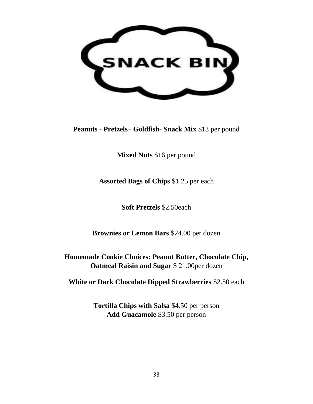

**Peanuts - Pretzels– Goldfish- Snack Mix** \$13 per pound

**Mixed Nuts** \$16 per pound

**Assorted Bags of Chips** \$1.25 per each

**Soft Pretzels** \$2.50each

**Brownies or Lemon Bars** \$24.00 per dozen

**Homemade Cookie Choices: Peanut Butter, Chocolate Chip, Oatmeal Raisin and Sugar** \$ 21.00per dozen

**White or Dark Chocolate Dipped Strawberries** \$2.50 each

**Tortilla Chips with Salsa** \$4.50 per person **Add Guacamole** \$3.50 per person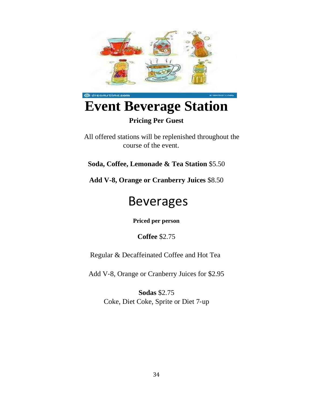

### **Pricing Per Guest**

All offered stations will be replenished throughout the course of the event.

**Soda, Coffee, Lemonade & Tea Station** \$5.50

**Add V-8, Orange or Cranberry Juices** \$8.50

# Beverages

**Priced per person** 

**Coffee** \$2.75

Regular & Decaffeinated Coffee and Hot Tea

Add V‐8, Orange or Cranberry Juices for \$2.95

**Sodas** \$2.75 Coke, Diet Coke, Sprite or Diet 7‐up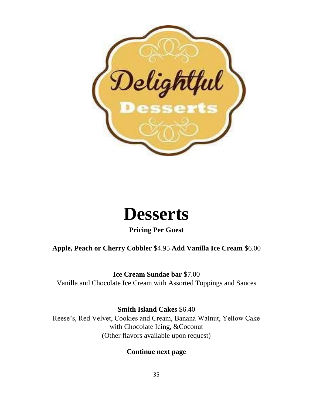



**Pricing Per Guest** 

### **Apple, Peach or Cherry Cobbler** \$4.95 **Add Vanilla Ice Cream** \$6.00

**Ice Cream Sundae bar** \$7.00

Vanilla and Chocolate Ice Cream with Assorted Toppings and Sauces

**Smith Island Cakes** \$6.40

Reese's, Red Velvet, Cookies and Cream, Banana Walnut, Yellow Cake with Chocolate Icing, &Coconut (Other flavors available upon request)

**Continue next page**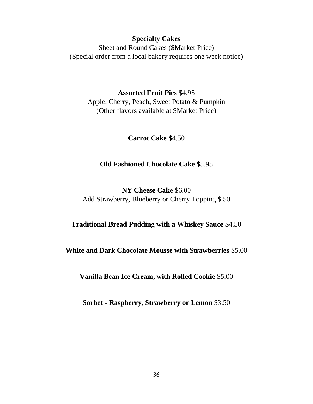### **Specialty Cakes**

Sheet and Round Cakes (\$Market Price) (Special order from a local bakery requires one week notice)

**Assorted Fruit Pies** \$4.95 Apple, Cherry, Peach, Sweet Potato & Pumpkin (Other flavors available at \$Market Price)

**Carrot Cake** \$4.50

#### **Old Fashioned Chocolate Cake** \$5.95

**NY Cheese Cake** \$6.00 Add Strawberry, Blueberry or Cherry Topping \$.50

#### **Traditional Bread Pudding with a Whiskey Sauce** \$4.50

**White and Dark Chocolate Mousse with Strawberries** \$5.00

**Vanilla Bean Ice Cream, with Rolled Cookie** \$5.00

**Sorbet - Raspberry, Strawberry or Lemon** \$3.50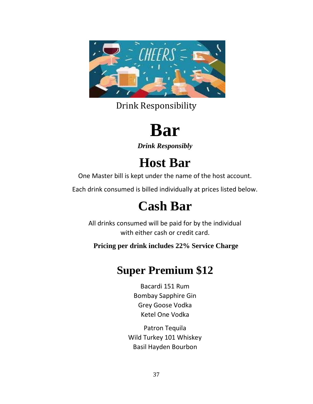

Drink Responsibility

# **Bar**

*Drink Responsibly* 

# **Host Bar**

One Master bill is kept under the name of the host account.

Each drink consumed is billed individually at prices listed below.

# **Cash Bar**

All drinks consumed will be paid for by the individual with either cash or credit card.

**Pricing per drink includes 22% Service Charge**

## **Super Premium \$12**

Bacardi 151 Rum Bombay Sapphire Gin Grey Goose Vodka Ketel One Vodka

Patron Tequila Wild Turkey 101 Whiskey Basil Hayden Bourbon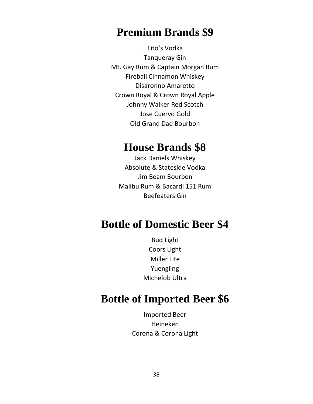### **Premium Brands \$9**

Tito's Vodka Tanqueray Gin Mt. Gay Rum & Captain Morgan Rum Fireball Cinnamon Whiskey Disaronno Amaretto Crown Royal & Crown Royal Apple Johnny Walker Red Scotch Jose Cuervo Gold Old Grand Dad Bourbon

### **House Brands \$8**

Jack Daniels Whiskey Absolute & Stateside Vodka Jim Beam Bourbon Malibu Rum & Bacardi 151 Rum Beefeaters Gin

### **Bottle of Domestic Beer \$4**

Bud Light Coors Light Miller Lite Yuengling Michelob Ultra

### **Bottle of Imported Beer \$6**

Imported Beer Heineken Corona & Corona Light